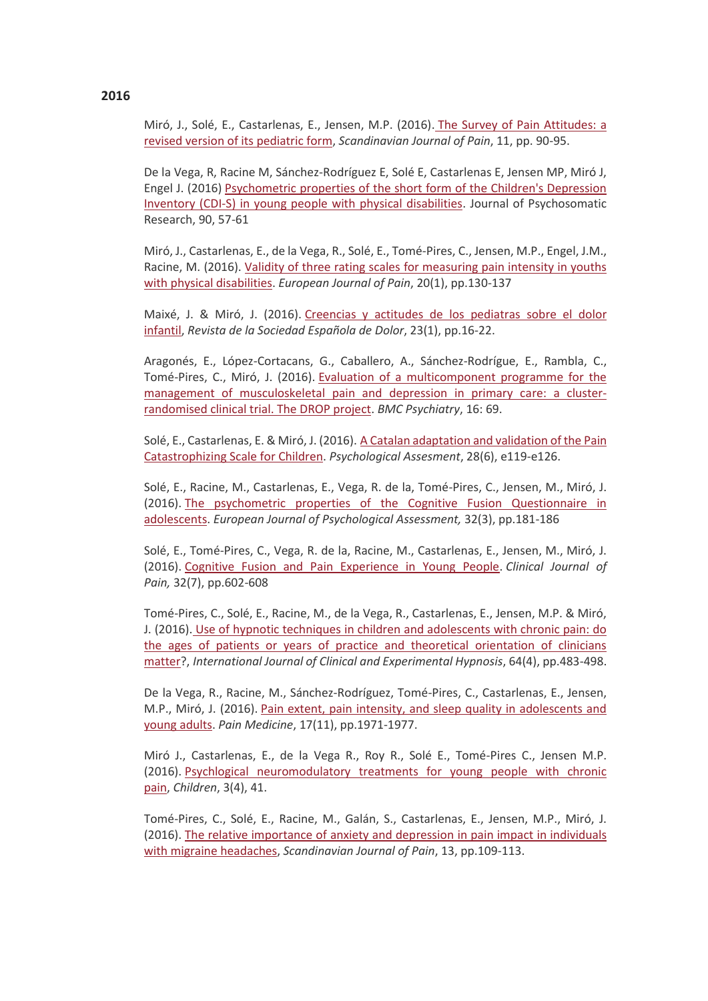Miró, J., Solé, E., Castarlenas, E., Jensen, M.P. (2016). [The Survey of Pain Attitudes: a](http://www.sciencedirect.com/science/article/pii/S1877886015001305)  [revised version of its pediatric form,](http://www.sciencedirect.com/science/article/pii/S1877886015001305) *Scandinavian Journal of Pain*, 11, pp. 90-95.

De la Vega, R, Racine M, Sánchez-Rodríguez E, Solé E, Castarlenas E, Jensen MP, Miró J, Engel J. (2016) [Psychometric properties of the short form of the Children's Depression](http://www.sciencedirect.com/science/article/pii/S0022399916303907)  [Inventory \(CDI-S\) in young people with physical disabilities.](http://www.sciencedirect.com/science/article/pii/S0022399916303907) Journal of Psychosomatic Research, 90, 57-61

Miró, J., Castarlenas, E., de la Vega, R., Solé, E., Tomé-Pires, C., Jensen, M.P., Engel, J.M., Racine, M. (2016). [Validity of three rating scales for measuring pain intensity in youths](http://www.ncbi.nlm.nih.gov/pubmed/25833415)  [with physical disabilities.](http://www.ncbi.nlm.nih.gov/pubmed/25833415) *European Journal of Pain*, 20(1), pp.130-137

Maixé, J. & Miró, J. (2016). Creencias y actitudes de los pediatras sobre el dolor [infantil,](https://www.researchgate.net/publication/299406243_Creencias_y_actitudes_de_los_pediatras_sobre_el_dolor) *Revista de la Sociedad Española de Dolor*, 23(1), pp.16-22.

Aragonés, E., López-Cortacans, G., Caballero, A., Sánchez-Rodrígue, E., Rambla, C., Tomé-Pires, C., Miró, J. (2016). [Evaluation of a multicomponent programme for the](http://bmcpsychiatry.biomedcentral.com/articles/10.1186/s12888-016-0772-2)  [management of musculoskeletal pain and depression in primary care: a cluster](http://bmcpsychiatry.biomedcentral.com/articles/10.1186/s12888-016-0772-2)[randomised clinical trial. The DROP project.](http://bmcpsychiatry.biomedcentral.com/articles/10.1186/s12888-016-0772-2) *BMC Psychiatry*, 16: 69.

Solé, E., Castarlenas, E. & Miró, J. (2016). [A Catalan adaptation and validation of the Pain](https://www.researchgate.net/publication/285370654_A_Catalan_Adaptation_and_Validation_of_the_Pain_Catastrophizing_Scale_for_Children)  [Catastrophizing Scale for Children.](https://www.researchgate.net/publication/285370654_A_Catalan_Adaptation_and_Validation_of_the_Pain_Catastrophizing_Scale_for_Children) *Psychological Assesment*, 28(6), e119-e126.

Solé, E., Racine, M., Castarlenas, E., Vega, R. de la, Tomé-Pires, C., Jensen, M., Miró, J. (2016). [The psychometric properties of the Cognitive Fusion Questionnaire in](http://psycnet.apa.org/psycinfo/2015-09102-001/)  [adolescents.](http://psycnet.apa.org/psycinfo/2015-09102-001/) *European Journal of Psychological Assessment,* 32(3), pp.181-186

Solé, E., Tomé-Pires, C., Vega, R. de la, Racine, M., Castarlenas, E., Jensen, M., Miró, J. (2016). [Cognitive Fusion and Pain Experience in Young People.](http://www.ncbi.nlm.nih.gov/pubmed/25803755) *Clinical Journal of Pain,* 32(7), pp.602-608

Tomé-Pires, C., Solé, E., Racine, M., de la Vega, R., Castarlenas, E., Jensen, M.P. & Miró, J. (2016). [Use of hypnotic techniques in children and adolescents with chronic pain: do](http://www.ncbi.nlm.nih.gov/pubmed/27585730)  [the ages of patients or years of practice and theoretical orientation of clinicians](http://www.ncbi.nlm.nih.gov/pubmed/27585730)  [matter?](http://www.ncbi.nlm.nih.gov/pubmed/27585730), *International Journal of Clinical and Experimental Hypnosis*, 64(4), pp.483-498.

De la Vega, R., Racine, M., Sánchez-Rodríguez, Tomé-Pires, C., Castarlenas, E., Jensen, M.P., Miró, J. (2016). [Pain extent, pain intensity, and sleep quality in adolescents and](https://academic.oup.com/painmedicine/article/17/11/1971/2449735/Pain-Extent-Pain-Intensity-and-Sleep-Quality-in)  [young adults.](https://academic.oup.com/painmedicine/article/17/11/1971/2449735/Pain-Extent-Pain-Intensity-and-Sleep-Quality-in) *Pain Medicine*, 17(11), pp.1971-1977.

Miró J., Castarlenas, E., de la Vega R., Roy R., Solé E., Tomé-Pires C., Jensen M.P. (2016). [Psychlogical neuromodulatory treatments for young people with chronic](http://www.mdpi.com/2227-9067/3/4/41)  [pain,](http://www.mdpi.com/2227-9067/3/4/41) *Children*, 3(4), 41.

Tomé-Pires, C., Solé, E., Racine, M., Galán, S., Castarlenas, E., Jensen, M.P., Miró, J. (2016). [The relative importance of anxiety and depression in pain impact in individuals](http://www.sciencedirect.com/science/article/pii/S1877886016300878)  [with migraine headaches,](http://www.sciencedirect.com/science/article/pii/S1877886016300878) *Scandinavian Journal of Pain*, 13, pp.109-113.

## **2016**